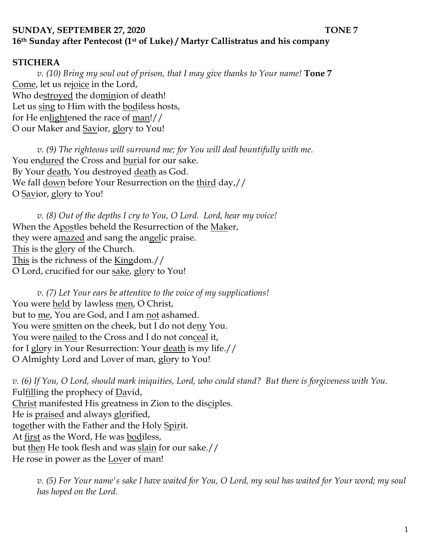## **SUNDAY, SEPTEMBER 27, 2020** TONE 7 **16th Sunday after Pentecost (1st of Luke) / Martyr Callistratus and his company**

## **STICHERA**

*v. (10) Bring my soul out of prison, that I may give thanks to Your name!* **Tone 7** Come, let us rejoice in the Lord, Who destroyed the dominion of death! Let us sing to Him with the bodiless hosts, for He enlightened the race of man!// O our Maker and Savior, glory to You!

*v. (9) The righteous will surround me; for You will deal bountifully with me.*  You endured the Cross and burial for our sake. By Your death, You destroyed death as God. We fall <u>down</u> before Your Resurrection on the third day,// O Savior, glory to You!

*v. (8) Out of the depths I cry to You, O Lord. Lord, hear my voice!*  When the Apostles beheld the Resurrection of the Maker, they were amazed and sang the angelic praise. This is the glory of the Church. This is the richness of the Kingdom.// O Lord, crucified for our sake, glory to You!

*v. (7) Let Your ears be attentive to the voice of my supplications!* You were held by lawless men, O Christ, but to me, You are God, and I am not ashamed. You were smitten on the cheek, but I do not deny You. You were nailed to the Cross and I do not conceal it, for I glory in Your Resurrection: Your death is my life.// O Almighty Lord and Lover of man, glory to You!

*v. (6) If You, O Lord, should mark iniquities, Lord, who could stand? But there is forgiveness with You.*  Fulfilling the prophecy of David, Christ manifested His greatness in Zion to the disciples. He is praised and always glorified, together with the Father and the Holy Spirit. At first as the Word, He was bodiless, but then He took flesh and was slain for our sake.// He rose in power as the Lover of man!

*v. (5) For Your name's sake I have waited for You, O Lord, my soul has waited for Your word; my soul has hoped on the Lord.*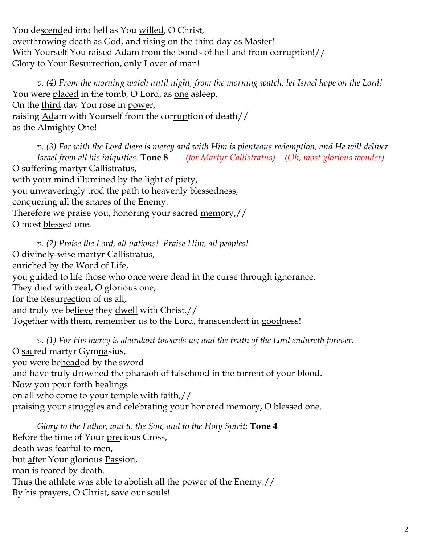You descended into hell as You willed, O Christ, overthrowing death as God, and rising on the third day as Master! With Yourself You raised Adam from the bonds of hell and from corruption!// Glory to Your Resurrection, only Lover of man!

*v. (4) From the morning watch until night, from the morning watch, let Israel hope on the Lord!*  You were placed in the tomb, O Lord, as one asleep. On the third day You rose in power, raising Adam with Yourself from the corruption of death// as the Almighty One!

*v. (3) For with the Lord there is mercy and with Him is plenteous redemption, and He will deliver Israel from all his iniquities.* **Tone 8** *(for Martyr Callistratus) (Oh, most glorious wonder)* O suffering martyr Callistratus, with your mind illumined by the light of piety, you unwaveringly trod the path to heavenly blessedness, conquering all the snares of the Enemy. Therefore we praise you, honoring your sacred memory,// O most blessed one.

*v. (2) Praise the Lord, all nations! Praise Him, all peoples!* O divinely-wise martyr Callistratus, enriched by the Word of Life, you guided to life those who once were dead in the curse through ignorance. They died with zeal, O glorious one, for the Resurrection of us all, and truly we believe they dwell with Christ.// Together with them, remember us to the Lord, transcendent in goodness!

*v. (1) For His mercy is abundant towards us; and the truth of the Lord endureth forever.*  O sacred martyr Gymnasius, you were beheaded by the sword and have truly drowned the pharaoh of falsehood in the torrent of your blood. Now you pour forth healings on all who come to your temple with faith,// praising your struggles and celebrating your honored memory, O blessed one.

*Glory to the Father, and to the Son, and to the Holy Spirit;* **Tone 4** Before the time of Your precious Cross, death was fearful to men, but after Your glorious Passion, man is feared by death. Thus the athlete was able to abolish all the power of the Enemy.// By his prayers, O Christ, save our souls!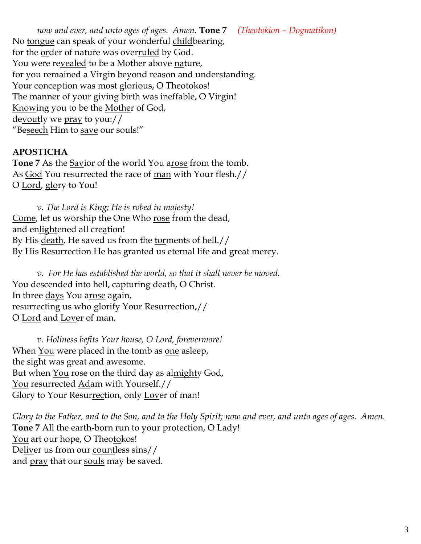*now and ever, and unto ages of ages. Amen.* **Tone 7** *(Theotokion – Dogmatikon)* No tongue can speak of your wonderful childbearing, for the order of nature was overruled by God. You were re<u>vealed</u> to be a Mother above nature, for you remained a Virgin beyond reason and understanding. Your conception was most glorious, O Theotokos! The <u>manner of your giving birth was ineffable</u>, O Virgin! Knowing you to be the Mother of God, devoutly we pray to you:// "Beseech Him to save our souls!"

## **APOSTICHA**

**Tone 7** As the Savior of the world You arose from the tomb. As God You resurrected the race of man with Your flesh.// O Lord, glory to You!

*v. The Lord is King; He is robed in majesty!*  Come, let us worship the One Who rose from the dead, and enlightened all creation! By His death, He saved us from the torments of hell.// By His Resurrection He has granted us eternal life and great mercy.

*v. For He has established the world, so that it shall never be moved.* You descended into hell, capturing death, O Christ. In three days You arose again, resurrecting us who glorify Your Resurrection,// O Lord and Lover of man.

*v. Holiness befits Your house, O Lord, forevermore!*  When You were placed in the tomb as one asleep, the sight was great and <u>awe</u>some. But when You rose on the third day as almighty God, You resurrected Adam with Yourself.// Glory to Your Resur<u>rection</u>, only <u>Lov</u>er of man!

*Glory to the Father, and to the Son, and to the Holy Spirit; now and ever, and unto ages of ages. Amen.*  Tone 7 All the earth-born run to your protection, O Lady! You art our hope, O Theotokos! Deliver us from our countless sins// and pray that our souls may be saved.